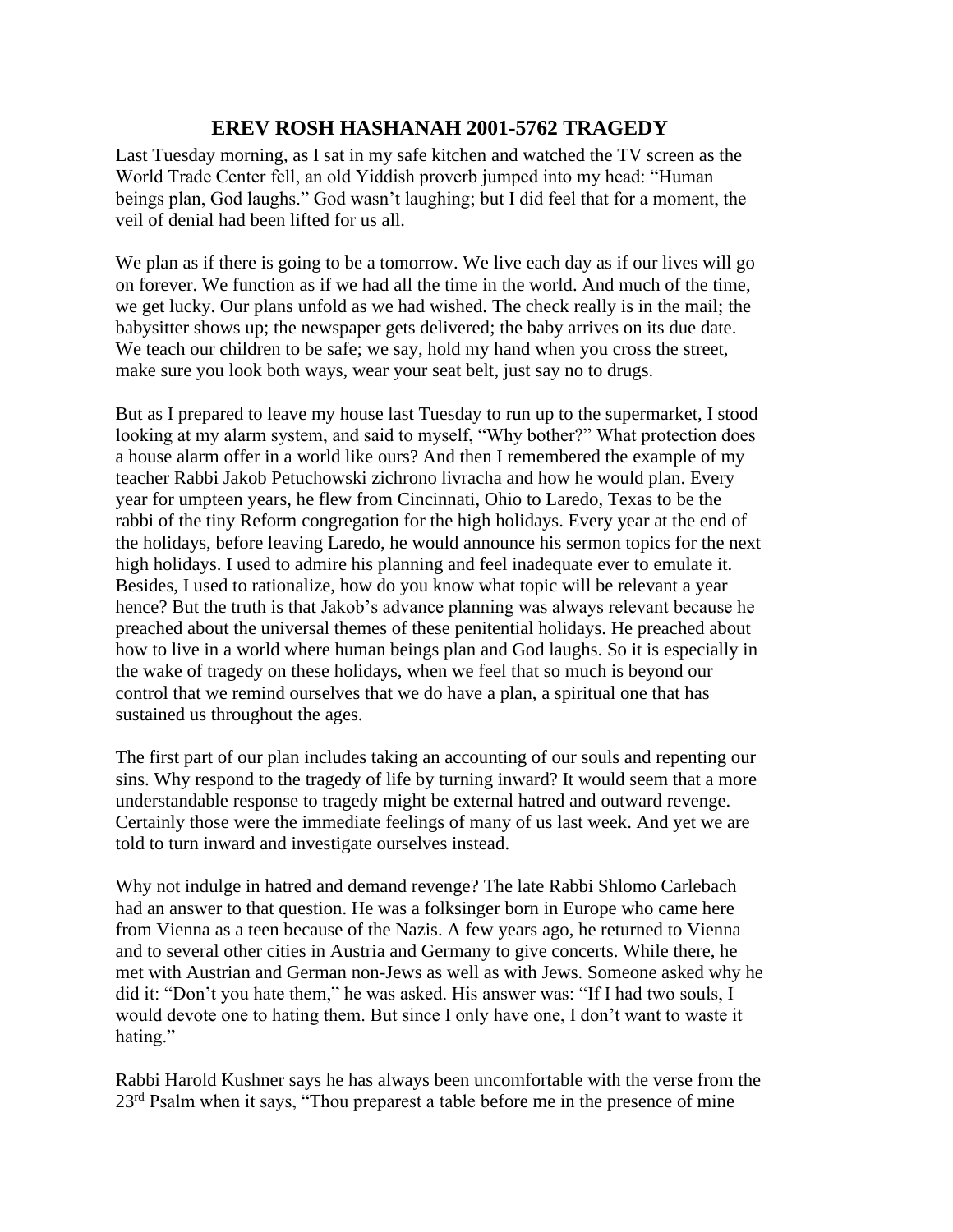## **EREV ROSH HASHANAH 2001-5762 TRAGEDY**

Last Tuesday morning, as I sat in my safe kitchen and watched the TV screen as the World Trade Center fell, an old Yiddish proverb jumped into my head: "Human beings plan, God laughs." God wasn't laughing; but I did feel that for a moment, the veil of denial had been lifted for us all.

We plan as if there is going to be a tomorrow. We live each day as if our lives will go on forever. We function as if we had all the time in the world. And much of the time, we get lucky. Our plans unfold as we had wished. The check really is in the mail; the babysitter shows up; the newspaper gets delivered; the baby arrives on its due date. We teach our children to be safe; we say, hold my hand when you cross the street, make sure you look both ways, wear your seat belt, just say no to drugs.

But as I prepared to leave my house last Tuesday to run up to the supermarket, I stood looking at my alarm system, and said to myself, "Why bother?" What protection does a house alarm offer in a world like ours? And then I remembered the example of my teacher Rabbi Jakob Petuchowski zichrono livracha and how he would plan. Every year for umpteen years, he flew from Cincinnati, Ohio to Laredo, Texas to be the rabbi of the tiny Reform congregation for the high holidays. Every year at the end of the holidays, before leaving Laredo, he would announce his sermon topics for the next high holidays. I used to admire his planning and feel inadequate ever to emulate it. Besides, I used to rationalize, how do you know what topic will be relevant a year hence? But the truth is that Jakob's advance planning was always relevant because he preached about the universal themes of these penitential holidays. He preached about how to live in a world where human beings plan and God laughs. So it is especially in the wake of tragedy on these holidays, when we feel that so much is beyond our control that we remind ourselves that we do have a plan, a spiritual one that has sustained us throughout the ages.

The first part of our plan includes taking an accounting of our souls and repenting our sins. Why respond to the tragedy of life by turning inward? It would seem that a more understandable response to tragedy might be external hatred and outward revenge. Certainly those were the immediate feelings of many of us last week. And yet we are told to turn inward and investigate ourselves instead.

Why not indulge in hatred and demand revenge? The late Rabbi Shlomo Carlebach had an answer to that question. He was a folksinger born in Europe who came here from Vienna as a teen because of the Nazis. A few years ago, he returned to Vienna and to several other cities in Austria and Germany to give concerts. While there, he met with Austrian and German non-Jews as well as with Jews. Someone asked why he did it: "Don't you hate them," he was asked. His answer was: "If I had two souls, I would devote one to hating them. But since I only have one, I don't want to waste it hating."

Rabbi Harold Kushner says he has always been uncomfortable with the verse from the 23<sup>rd</sup> Psalm when it says, "Thou preparest a table before me in the presence of mine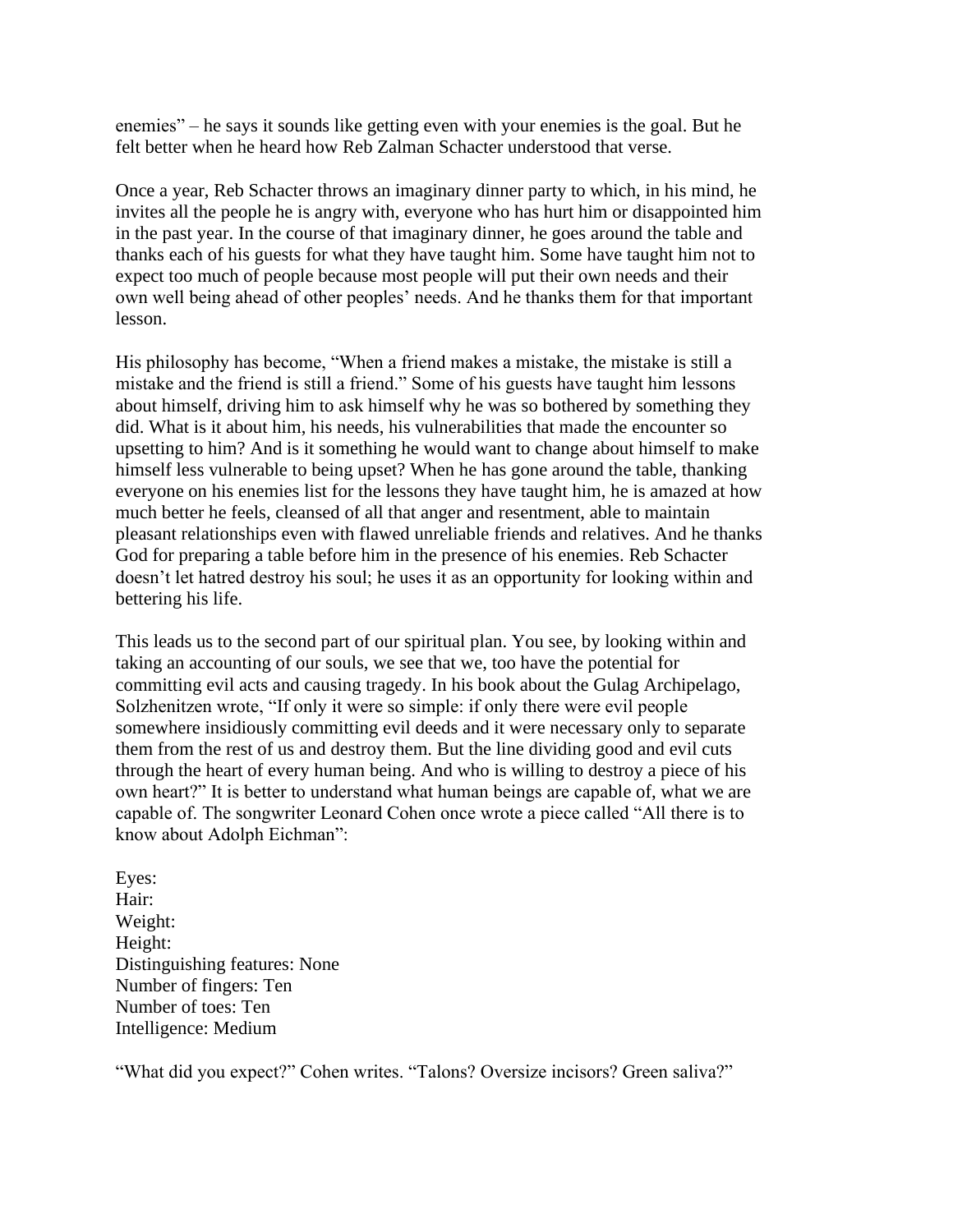enemies" – he says it sounds like getting even with your enemies is the goal. But he felt better when he heard how Reb Zalman Schacter understood that verse.

Once a year, Reb Schacter throws an imaginary dinner party to which, in his mind, he invites all the people he is angry with, everyone who has hurt him or disappointed him in the past year. In the course of that imaginary dinner, he goes around the table and thanks each of his guests for what they have taught him. Some have taught him not to expect too much of people because most people will put their own needs and their own well being ahead of other peoples' needs. And he thanks them for that important lesson.

His philosophy has become, "When a friend makes a mistake, the mistake is still a mistake and the friend is still a friend." Some of his guests have taught him lessons about himself, driving him to ask himself why he was so bothered by something they did. What is it about him, his needs, his vulnerabilities that made the encounter so upsetting to him? And is it something he would want to change about himself to make himself less vulnerable to being upset? When he has gone around the table, thanking everyone on his enemies list for the lessons they have taught him, he is amazed at how much better he feels, cleansed of all that anger and resentment, able to maintain pleasant relationships even with flawed unreliable friends and relatives. And he thanks God for preparing a table before him in the presence of his enemies. Reb Schacter doesn't let hatred destroy his soul; he uses it as an opportunity for looking within and bettering his life.

This leads us to the second part of our spiritual plan. You see, by looking within and taking an accounting of our souls, we see that we, too have the potential for committing evil acts and causing tragedy. In his book about the Gulag Archipelago, Solzhenitzen wrote, "If only it were so simple: if only there were evil people somewhere insidiously committing evil deeds and it were necessary only to separate them from the rest of us and destroy them. But the line dividing good and evil cuts through the heart of every human being. And who is willing to destroy a piece of his own heart?" It is better to understand what human beings are capable of, what we are capable of. The songwriter Leonard Cohen once wrote a piece called "All there is to know about Adolph Eichman":

Eyes: Hair: Weight: Height: Distinguishing features: None Number of fingers: Ten Number of toes: Ten Intelligence: Medium

"What did you expect?" Cohen writes. "Talons? Oversize incisors? Green saliva?"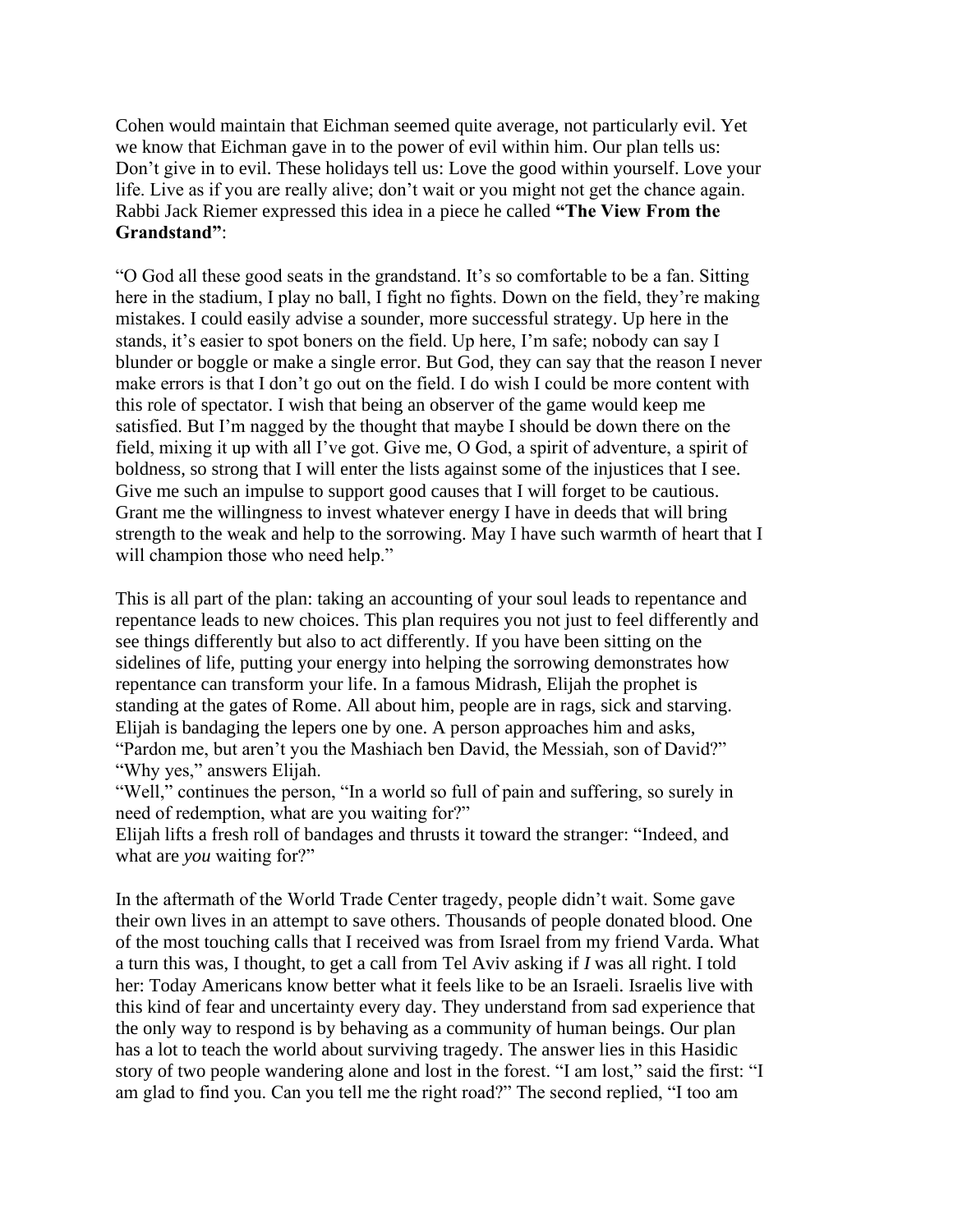Cohen would maintain that Eichman seemed quite average, not particularly evil. Yet we know that Eichman gave in to the power of evil within him. Our plan tells us: Don't give in to evil. These holidays tell us: Love the good within yourself. Love your life. Live as if you are really alive; don't wait or you might not get the chance again. Rabbi Jack Riemer expressed this idea in a piece he called **"The View From the Grandstand"**:

"O God all these good seats in the grandstand. It's so comfortable to be a fan. Sitting here in the stadium, I play no ball, I fight no fights. Down on the field, they're making mistakes. I could easily advise a sounder, more successful strategy. Up here in the stands, it's easier to spot boners on the field. Up here, I'm safe; nobody can say I blunder or boggle or make a single error. But God, they can say that the reason I never make errors is that I don't go out on the field. I do wish I could be more content with this role of spectator. I wish that being an observer of the game would keep me satisfied. But I'm nagged by the thought that maybe I should be down there on the field, mixing it up with all I've got. Give me, O God, a spirit of adventure, a spirit of boldness, so strong that I will enter the lists against some of the injustices that I see. Give me such an impulse to support good causes that I will forget to be cautious. Grant me the willingness to invest whatever energy I have in deeds that will bring strength to the weak and help to the sorrowing. May I have such warmth of heart that I will champion those who need help."

This is all part of the plan: taking an accounting of your soul leads to repentance and repentance leads to new choices. This plan requires you not just to feel differently and see things differently but also to act differently. If you have been sitting on the sidelines of life, putting your energy into helping the sorrowing demonstrates how repentance can transform your life. In a famous Midrash, Elijah the prophet is standing at the gates of Rome. All about him, people are in rags, sick and starving. Elijah is bandaging the lepers one by one. A person approaches him and asks, "Pardon me, but aren't you the Mashiach ben David, the Messiah, son of David?" "Why yes," answers Elijah.

"Well," continues the person, "In a world so full of pain and suffering, so surely in need of redemption, what are you waiting for?"

Elijah lifts a fresh roll of bandages and thrusts it toward the stranger: "Indeed, and what are *you* waiting for?"

In the aftermath of the World Trade Center tragedy, people didn't wait. Some gave their own lives in an attempt to save others. Thousands of people donated blood. One of the most touching calls that I received was from Israel from my friend Varda. What a turn this was, I thought, to get a call from Tel Aviv asking if *I* was all right. I told her: Today Americans know better what it feels like to be an Israeli. Israelis live with this kind of fear and uncertainty every day. They understand from sad experience that the only way to respond is by behaving as a community of human beings. Our plan has a lot to teach the world about surviving tragedy. The answer lies in this Hasidic story of two people wandering alone and lost in the forest. "I am lost," said the first: "I am glad to find you. Can you tell me the right road?" The second replied, "I too am